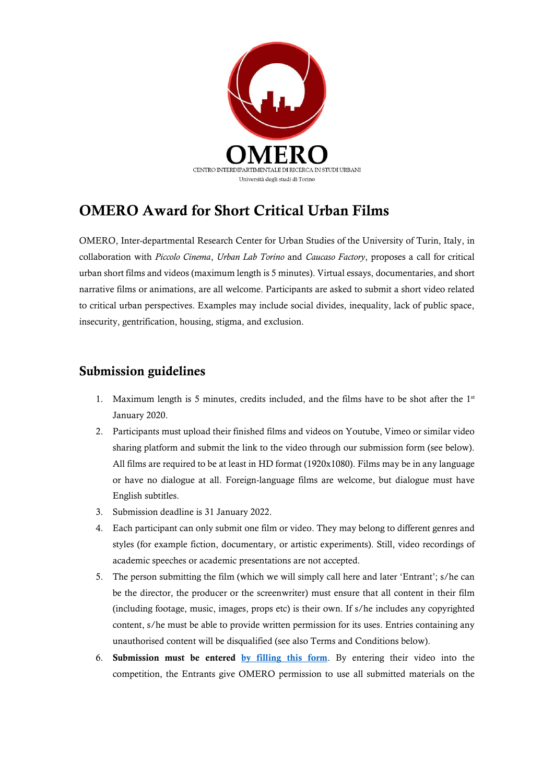

## OMERO Award for Short Critical Urban Films

OMERO, Inter-departmental Research Center for Urban Studies of the University of Turin, Italy, in collaboration with *Piccolo Cinema*, *Urban Lab Torino* and *Caucaso Factory*, proposes a call for critical urban short films and videos (maximum length is 5 minutes). Virtual essays, documentaries, and short narrative films or animations, are all welcome. Participants are asked to submit a short video related to critical urban perspectives. Examples may include social divides, inequality, lack of public space, insecurity, gentrification, housing, stigma, and exclusion.

## Submission guidelines

- 1. Maximum length is 5 minutes, credits included, and the films have to be shot after the  $1<sup>st</sup>$ January 2020.
- 2. Participants must upload their finished films and videos on Youtube, Vimeo or similar video sharing platform and submit the link to the video through our submission form (see below). All films are required to be at least in HD format (1920x1080). Films may be in any language or have no dialogue at all. Foreign-language films are welcome, but dialogue must have English subtitles.
- 3. Submission deadline is 31 January 2022.
- 4. Each participant can only submit one film or video. They may belong to different genres and styles (for example fiction, documentary, or artistic experiments). Still, video recordings of academic speeches or academic presentations are not accepted.
- 5. The person submitting the film (which we will simply call here and later 'Entrant'; s/he can be the director, the producer or the screenwriter) must ensure that all content in their film (including footage, music, images, props etc) is their own. If s/he includes any copyrighted content, s/he must be able to provide written permission for its uses. Entries containing any unauthorised content will be disqualified (see also Terms and Conditions below).
- 6. Submission must be entered [by filling](https://forms.gle/BAKcSGLsY2v5rMNX8) this form. By entering their video into the competition, the Entrants give OMERO permission to use all submitted materials on the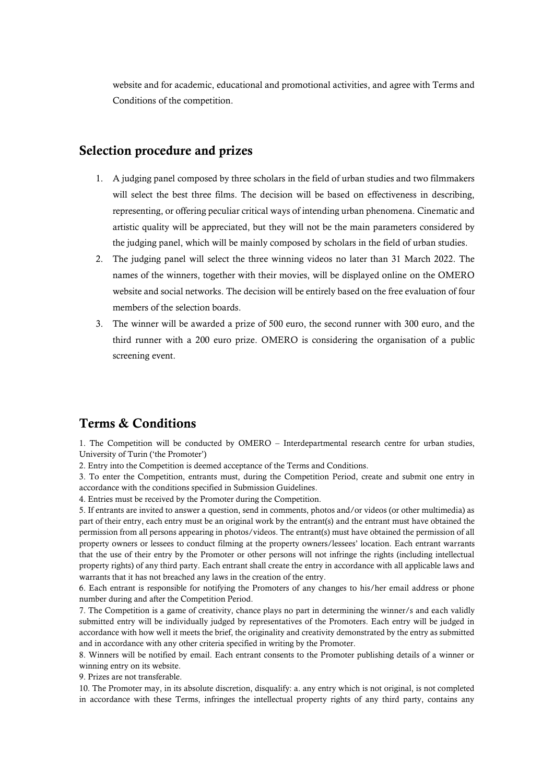website and for academic, educational and promotional activities, and agree with Terms and Conditions of the competition.

## Selection procedure and prizes

- 1. A judging panel composed by three scholars in the field of urban studies and two filmmakers will select the best three films. The decision will be based on effectiveness in describing, representing, or offering peculiar critical ways of intending urban phenomena. Cinematic and artistic quality will be appreciated, but they will not be the main parameters considered by the judging panel, which will be mainly composed by scholars in the field of urban studies.
- 2. The judging panel will select the three winning videos no later than 31 March 2022. The names of the winners, together with their movies, will be displayed online on the OMERO website and social networks. The decision will be entirely based on the free evaluation of four members of the selection boards.
- 3. The winner will be awarded a prize of 500 euro, the second runner with 300 euro, and the third runner with a 200 euro prize. OMERO is considering the organisation of a public screening event.

## Terms & Conditions

1. The Competition will be conducted by OMERO – Interdepartmental research centre for urban studies, University of Turin ('the Promoter')

2. Entry into the Competition is deemed acceptance of the Terms and Conditions.

3. To enter the Competition, entrants must, during the Competition Period, create and submit one entry in accordance with the conditions specified in Submission Guidelines.

4. Entries must be received by the Promoter during the Competition.

5. If entrants are invited to answer a question, send in comments, photos and/or videos (or other multimedia) as part of their entry, each entry must be an original work by the entrant(s) and the entrant must have obtained the permission from all persons appearing in photos/videos. The entrant(s) must have obtained the permission of all property owners or lessees to conduct filming at the property owners/lessees' location. Each entrant warrants that the use of their entry by the Promoter or other persons will not infringe the rights (including intellectual property rights) of any third party. Each entrant shall create the entry in accordance with all applicable laws and warrants that it has not breached any laws in the creation of the entry.

6. Each entrant is responsible for notifying the Promoters of any changes to his/her email address or phone number during and after the Competition Period.

7. The Competition is a game of creativity, chance plays no part in determining the winner/s and each validly submitted entry will be individually judged by representatives of the Promoters. Each entry will be judged in accordance with how well it meets the brief, the originality and creativity demonstrated by the entry as submitted and in accordance with any other criteria specified in writing by the Promoter.

8. Winners will be notified by email. Each entrant consents to the Promoter publishing details of a winner or winning entry on its website.

9. Prizes are not transferable.

10. The Promoter may, in its absolute discretion, disqualify: a. any entry which is not original, is not completed in accordance with these Terms, infringes the intellectual property rights of any third party, contains any